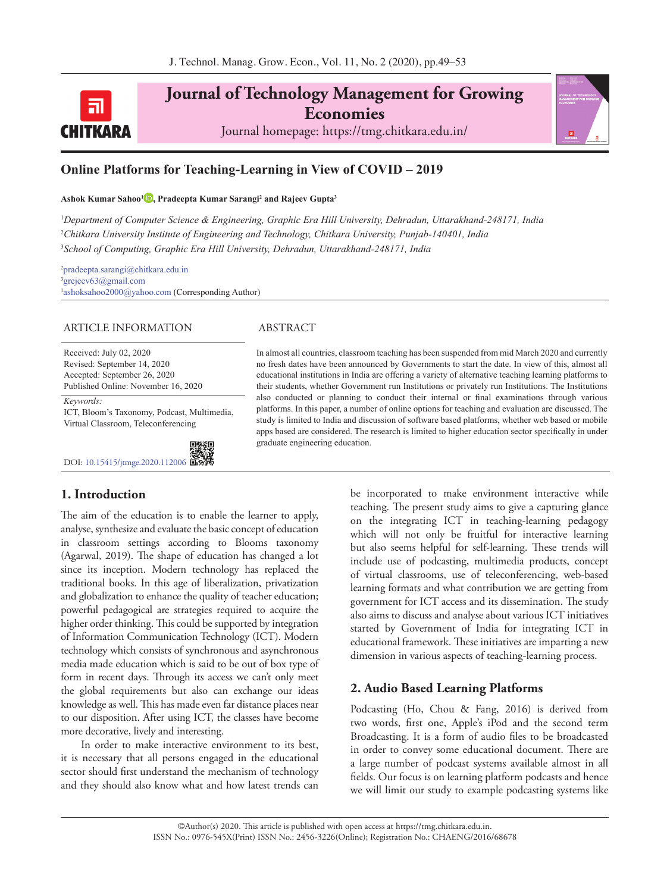

**Journal of Technology Management for Growing Economies** Journal homepage: https://tmg.chitkara.edu.in/



## **Online Platforms for Teaching-Learning in View of COVID – 2019**

#### **Ashok Kumar Sahoo1 [,](https://orcid.org/0000-0001-7565-2685) Pradeepta Kumar Sarangi2 and Rajeev Gupta3**

1 *Department of Computer Science & Engineering, Graphic Era Hill University, Dehradun, Uttarakhand-248171, India* 2 *Chitkara University Institute of Engineering and Technology, Chitkara University, Punjab-140401, India* 3 *School of Computing, Graphic Era Hill University, Dehradun, Uttarakhand-248171, India*

2 pradeepta.sarangi@chitkara.edu.in 3 grejeev63@gmail.com 1 ashoksahoo2000@yahoo.com (Corresponding Author)

#### ARTICLE INFORMATION ABSTRACT

Received: July 02, 2020 Revised: September 14, 2020 Accepted: September 26, 2020 Published Online: November 16, 2020

*Keywords:* ICT, Bloom's Taxonomy, Podcast, Multimedia, Virtual Classroom, Teleconferencing

DOI: [10.15415/jtmge.2020.112006](https://doi.org/10.15415/jtmge.2020.112006%20)

# **1. Introduction**

The aim of the education is to enable the learner to apply, analyse, synthesize and evaluate the basic concept of education in classroom settings according to Blooms taxonomy (Agarwal, 2019). The shape of education has changed a lot since its inception. Modern technology has replaced the traditional books. In this age of liberalization, privatization and globalization to enhance the quality of teacher education; powerful pedagogical are strategies required to acquire the higher order thinking. This could be supported by integration of Information Communication Technology (ICT). Modern technology which consists of synchronous and asynchronous media made education which is said to be out of box type of form in recent days. Through its access we can't only meet the global requirements but also can exchange our ideas knowledge as well. This has made even far distance places near to our disposition. After using ICT, the classes have become more decorative, lively and interesting.

In order to make interactive environment to its best, it is necessary that all persons engaged in the educational sector should first understand the mechanism of technology and they should also know what and how latest trends can

In almost all countries, classroom teaching has been suspended from mid March 2020 and currently no fresh dates have been announced by Governments to start the date. In view of this, almost all educational institutions in India are offering a variety of alternative teaching learning platforms to their students, whether Government run Institutions or privately run Institutions. The Institutions also conducted or planning to conduct their internal or final examinations through various platforms. In this paper, a number of online options for teaching and evaluation are discussed. The study is limited to India and discussion of software based platforms, whether web based or mobile apps based are considered. The research is limited to higher education sector specifically in under graduate engineering education.

> be incorporated to make environment interactive while teaching. The present study aims to give a capturing glance on the integrating ICT in teaching-learning pedagogy which will not only be fruitful for interactive learning but also seems helpful for self-learning. These trends will include use of podcasting, multimedia products, concept of virtual classrooms, use of teleconferencing, web-based learning formats and what contribution we are getting from government for ICT access and its dissemination. The study also aims to discuss and analyse about various ICT initiatives started by Government of India for integrating ICT in educational framework. These initiatives are imparting a new dimension in various aspects of teaching-learning process.

### **2. Audio Based Learning Platforms**

Podcasting (Ho, Chou & Fang, 2016) is derived from two words, first one, Apple's iPod and the second term Broadcasting. It is a form of audio files to be broadcasted in order to convey some educational document. There are a large number of podcast systems available almost in all fields. Our focus is on learning platform podcasts and hence we will limit our study to example podcasting systems like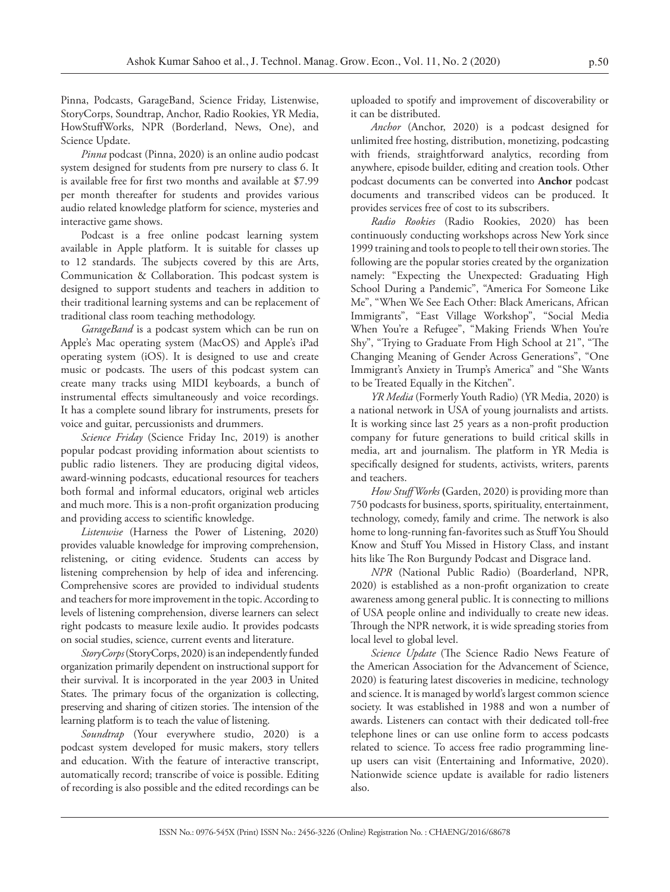Pinna, Podcasts, GarageBand, Science Friday, Listenwise, StoryCorps, Soundtrap, Anchor, Radio Rookies, YR Media, HowStuffWorks, NPR (Borderland, News, One), and Science Update.

*Pinna* podcast (Pinna, 2020) is an online audio podcast system designed for students from pre nursery to class 6. It is available free for first two months and available at \$7.99 per month thereafter for students and provides various audio related knowledge platform for science, mysteries and interactive game shows.

Podcast is a free online podcast learning system available in Apple platform. It is suitable for classes up to 12 standards. The subjects covered by this are Arts, Communication & Collaboration. This podcast system is designed to support students and teachers in addition to their traditional learning systems and can be replacement of traditional class room teaching methodology.

*GarageBand* is a podcast system which can be run on Apple's Mac operating system (MacOS) and Apple's iPad operating system (iOS). It is designed to use and create music or podcasts. The users of this podcast system can create many tracks using MIDI keyboards, a bunch of instrumental effects simultaneously and voice recordings. It has a complete sound library for instruments, presets for voice and guitar, percussionists and drummers.

*Science Friday* (Science Friday Inc, 2019) is another popular podcast providing information about scientists to public radio listeners. They are producing digital videos, award-winning podcasts, educational resources for teachers both formal and informal educators, original web articles and much more. This is a non-profit organization producing and providing access to scientific knowledge.

*Listenwise* (Harness the Power of Listening, 2020) provides valuable knowledge for improving comprehension, relistening, or citing evidence. Students can access by listening comprehension by help of idea and inferencing. Comprehensive scores are provided to individual students and teachers for more improvement in the topic. According to levels of listening comprehension, diverse learners can select right podcasts to measure lexile audio. It provides podcasts on social studies, science, current events and literature.

*StoryCorps* (StoryCorps, 2020) is an independently funded organization primarily dependent on instructional support for their survival. It is incorporated in the year 2003 in United States. The primary focus of the organization is collecting, preserving and sharing of citizen stories. The intension of the learning platform is to teach the value of listening.

*Soundtrap* (Your everywhere studio, 2020) is a podcast system developed for music makers, story tellers and education. With the feature of interactive transcript, automatically record; transcribe of voice is possible. Editing of recording is also possible and the edited recordings can be uploaded to spotify and improvement of discoverability or it can be distributed.

*Anchor* (Anchor, 2020) is a podcast designed for unlimited free hosting, distribution, monetizing, podcasting with friends, straightforward analytics, recording from anywhere, episode builder, editing and creation tools. Other podcast documents can be converted into **Anchor** podcast documents and transcribed videos can be produced. It provides services free of cost to its subscribers.

*Radio Rookies* (Radio Rookies, 2020) has been continuously conducting workshops across New York since 1999 training and tools to people to tell their own stories. The following are the popular stories created by the organization namely: "Expecting the Unexpected: Graduating High School During a Pandemic", "America For Someone Like Me", "When We See Each Other: Black Americans, African Immigrants", "East Village Workshop", "Social Media When You're a Refugee", "Making Friends When You're Shy", "Trying to Graduate From High School at 21", "The Changing Meaning of Gender Across Generations", "One Immigrant's Anxiety in Trump's America" and "She Wants to be Treated Equally in the Kitchen".

*YR Media* (Formerly Youth Radio) (YR Media, 2020) is a national network in USA of young journalists and artists. It is working since last 25 years as a non-profit production company for future generations to build critical skills in media, art and journalism. The platform in YR Media is specifically designed for students, activists, writers, parents and teachers.

*How Stuff Works* **(**Garden, 2020) is providing more than 750 podcasts for business, sports, spirituality, entertainment, technology, comedy, family and crime. The network is also home to long-running fan-favorites such as Stuff You Should Know and Stuff You Missed in History Class, and instant hits like The Ron Burgundy Podcast and Disgrace land.

*NPR* (National Public Radio) (Boarderland, NPR, 2020) is established as a non-profit organization to create awareness among general public. It is connecting to millions of USA people online and individually to create new ideas. Through the NPR network, it is wide spreading stories from local level to global level.

*Science Update* (The Science Radio News Feature of the American Association for the Advancement of Science, 2020) is featuring latest discoveries in medicine, technology and science. It is managed by world's largest common science society. It was established in 1988 and won a number of awards. Listeners can contact with their dedicated toll-free telephone lines or can use online form to access podcasts related to science. To access free radio programming lineup users can visit (Entertaining and Informative, 2020). Nationwide science update is available for radio listeners also.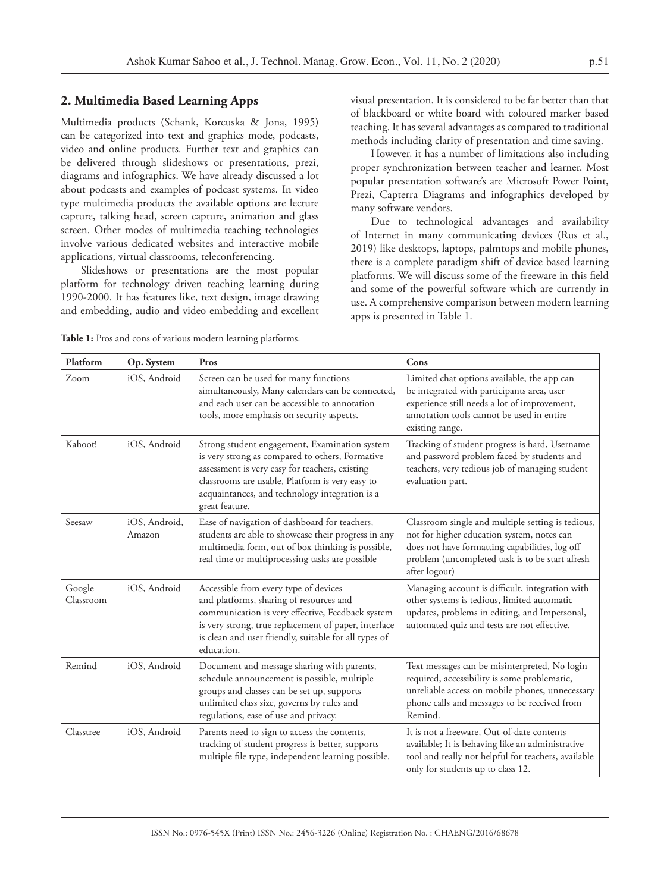#### **2. Multimedia Based Learning Apps**

Multimedia products (Schank, Korcuska & Jona, 1995) can be categorized into text and graphics mode, podcasts, video and online products. Further text and graphics can be delivered through slideshows or presentations, prezi, diagrams and infographics. We have already discussed a lot about podcasts and examples of podcast systems. In video type multimedia products the available options are lecture capture, talking head, screen capture, animation and glass screen. Other modes of multimedia teaching technologies involve various dedicated websites and interactive mobile applications, virtual classrooms, teleconferencing.

Slideshows or presentations are the most popular platform for technology driven teaching learning during 1990-2000. It has features like, text design, image drawing and embedding, audio and video embedding and excellent visual presentation. It is considered to be far better than that of blackboard or white board with coloured marker based teaching. It has several advantages as compared to traditional methods including clarity of presentation and time saving.

However, it has a number of limitations also including proper synchronization between teacher and learner. Most popular presentation software's are Microsoft Power Point, Prezi, Capterra Diagrams and infographics developed by many software vendors.

Due to technological advantages and availability of Internet in many communicating devices (Rus et al., 2019) like desktops, laptops, palmtops and mobile phones, there is a complete paradigm shift of device based learning platforms. We will discuss some of the freeware in this field and some of the powerful software which are currently in use. A comprehensive comparison between modern learning apps is presented in Table 1.

| Platform            | Op. System              | Pros                                                                                                                                                                                                                                                                      | Cons                                                                                                                                                                                                                  |
|---------------------|-------------------------|---------------------------------------------------------------------------------------------------------------------------------------------------------------------------------------------------------------------------------------------------------------------------|-----------------------------------------------------------------------------------------------------------------------------------------------------------------------------------------------------------------------|
| Zoom                | iOS, Android            | Screen can be used for many functions<br>simultaneously, Many calendars can be connected,<br>and each user can be accessible to annotation<br>tools, more emphasis on security aspects.                                                                                   | Limited chat options available, the app can<br>be integrated with participants area, user<br>experience still needs a lot of improvement,<br>annotation tools cannot be used in entire<br>existing range.             |
| Kahoot!             | iOS, Android            | Strong student engagement, Examination system<br>is very strong as compared to others, Formative<br>assessment is very easy for teachers, existing<br>classrooms are usable, Platform is very easy to<br>acquaintances, and technology integration is a<br>great feature. | Tracking of student progress is hard, Username<br>and password problem faced by students and<br>teachers, very tedious job of managing student<br>evaluation part.                                                    |
| Seesaw              | iOS, Android,<br>Amazon | Ease of navigation of dashboard for teachers,<br>students are able to showcase their progress in any<br>multimedia form, out of box thinking is possible,<br>real time or multiprocessing tasks are possible                                                              | Classroom single and multiple setting is tedious,<br>not for higher education system, notes can<br>does not have formatting capabilities, log off<br>problem (uncompleted task is to be start afresh<br>after logout) |
| Google<br>Classroom | iOS, Android            | Accessible from every type of devices<br>and platforms, sharing of resources and<br>communication is very effective, Feedback system<br>is very strong, true replacement of paper, interface<br>is clean and user friendly, suitable for all types of<br>education.       | Managing account is difficult, integration with<br>other systems is tedious, limited automatic<br>updates, problems in editing, and Impersonal,<br>automated quiz and tests are not effective.                        |
| Remind              | iOS, Android            | Document and message sharing with parents,<br>schedule announcement is possible, multiple<br>groups and classes can be set up, supports<br>unlimited class size, governs by rules and<br>regulations, ease of use and privacy.                                            | Text messages can be misinterpreted, No login<br>required, accessibility is some problematic,<br>unreliable access on mobile phones, unnecessary<br>phone calls and messages to be received from<br>Remind.           |
| Classtree           | iOS, Android            | Parents need to sign to access the contents,<br>tracking of student progress is better, supports<br>multiple file type, independent learning possible.                                                                                                                    | It is not a freeware, Out-of-date contents<br>available; It is behaving like an administrative<br>tool and really not helpful for teachers, available<br>only for students up to class 12.                            |

**Table 1:** Pros and cons of various modern learning platforms.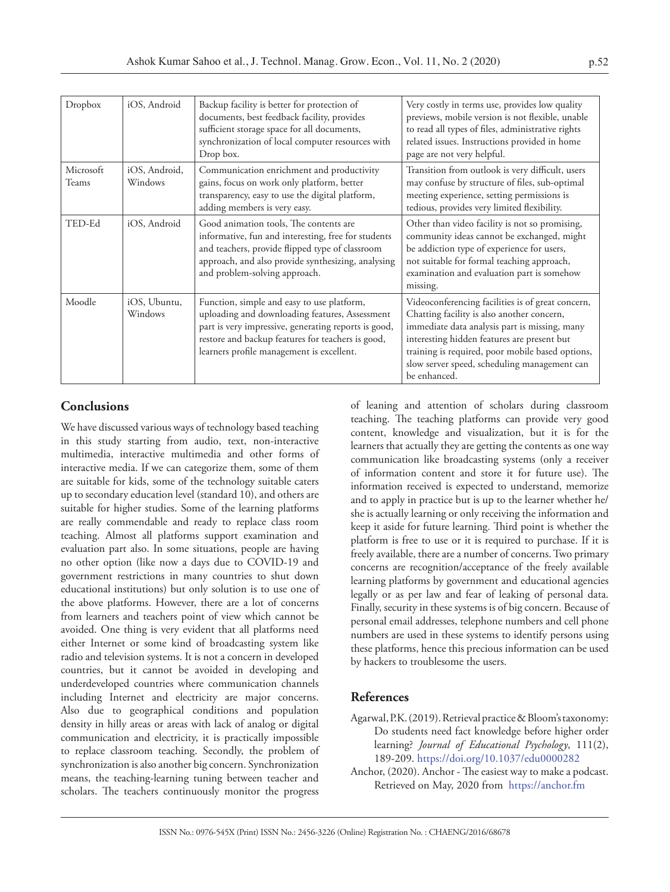| Dropbox            | iOS, Android             | Backup facility is better for protection of<br>documents, best feedback facility, provides<br>sufficient storage space for all documents,<br>synchronization of local computer resources with<br>Drop box.                                             | Very costly in terms use, provides low quality<br>previews, mobile version is not flexible, unable<br>to read all types of files, administrative rights<br>related issues. Instructions provided in home<br>page are not very helpful.                                                                              |
|--------------------|--------------------------|--------------------------------------------------------------------------------------------------------------------------------------------------------------------------------------------------------------------------------------------------------|---------------------------------------------------------------------------------------------------------------------------------------------------------------------------------------------------------------------------------------------------------------------------------------------------------------------|
| Microsoft<br>Teams | iOS, Android,<br>Windows | Communication enrichment and productivity<br>gains, focus on work only platform, better<br>transparency, easy to use the digital platform,<br>adding members is very easy.                                                                             | Transition from outlook is very difficult, users<br>may confuse by structure of files, sub-optimal<br>meeting experience, setting permissions is<br>tedious, provides very limited flexibility.                                                                                                                     |
| TED-Ed             | iOS, Android             | Good animation tools, The contents are<br>informative, fun and interesting, free for students<br>and teachers, provide flipped type of classroom<br>approach, and also provide synthesizing, analysing<br>and problem-solving approach.                | Other than video facility is not so promising,<br>community ideas cannot be exchanged, might<br>be addiction type of experience for users,<br>not suitable for formal teaching approach,<br>examination and evaluation part is somehow<br>missing.                                                                  |
| Moodle             | iOS, Ubuntu,<br>Windows  | Function, simple and easy to use platform,<br>uploading and downloading features, Assessment<br>part is very impressive, generating reports is good,<br>restore and backup features for teachers is good,<br>learners profile management is excellent. | Videoconferencing facilities is of great concern,<br>Chatting facility is also another concern,<br>immediate data analysis part is missing, many<br>interesting hidden features are present but<br>training is required, poor mobile based options,<br>slow server speed, scheduling management can<br>be enhanced. |

## **Conclusions**

We have discussed various ways of technology based teaching in this study starting from audio, text, non-interactive multimedia, interactive multimedia and other forms of interactive media. If we can categorize them, some of them are suitable for kids, some of the technology suitable caters up to secondary education level (standard 10), and others are suitable for higher studies. Some of the learning platforms are really commendable and ready to replace class room teaching. Almost all platforms support examination and evaluation part also. In some situations, people are having no other option (like now a days due to COVID-19 and government restrictions in many countries to shut down educational institutions) but only solution is to use one of the above platforms. However, there are a lot of concerns from learners and teachers point of view which cannot be avoided. One thing is very evident that all platforms need either Internet or some kind of broadcasting system like radio and television systems. It is not a concern in developed countries, but it cannot be avoided in developing and underdeveloped countries where communication channels including Internet and electricity are major concerns. Also due to geographical conditions and population density in hilly areas or areas with lack of analog or digital communication and electricity, it is practically impossible to replace classroom teaching. Secondly, the problem of synchronization is also another big concern. Synchronization means, the teaching-learning tuning between teacher and scholars. The teachers continuously monitor the progress of leaning and attention of scholars during classroom teaching. The teaching platforms can provide very good content, knowledge and visualization, but it is for the learners that actually they are getting the contents as one way communication like broadcasting systems (only a receiver of information content and store it for future use). The information received is expected to understand, memorize and to apply in practice but is up to the learner whether he/ she is actually learning or only receiving the information and keep it aside for future learning. Third point is whether the platform is free to use or it is required to purchase. If it is freely available, there are a number of concerns. Two primary concerns are recognition/acceptance of the freely available learning platforms by government and educational agencies legally or as per law and fear of leaking of personal data. Finally, security in these systems is of big concern. Because of personal email addresses, telephone numbers and cell phone numbers are used in these systems to identify persons using these platforms, hence this precious information can be used by hackers to troublesome the users.

#### **References**

- Agarwal, P.K. (2019). Retrieval practice & Bloom's taxonomy: Do students need fact knowledge before higher order learning? *Journal of Educational Psychology*, 111(2), 189-209.<https://doi.org/10.1037/edu0000282>
- Anchor, (2020). Anchor The easiest way to make a podcast. Retrieved on May, 2020 from https://anchor.fm